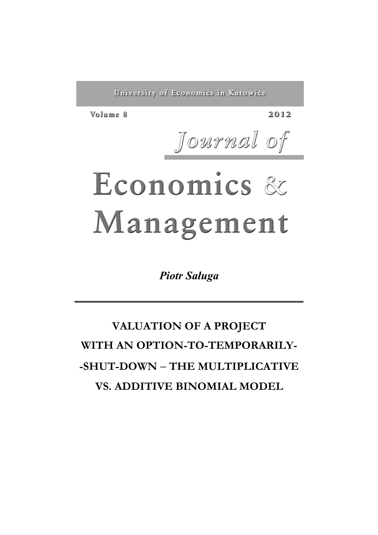University of Economics in Katowice

Volume 8

2012

Journal of

# Economics & Management

*Piotr Saługa*

# **VALUATION OF A PROJECT WITH AN OPTION-TO-TEMPORARILY- -SHUT-DOWN** − **THE MULTIPLICATIVE VS. ADDITIVE BINOMIAL MODEL**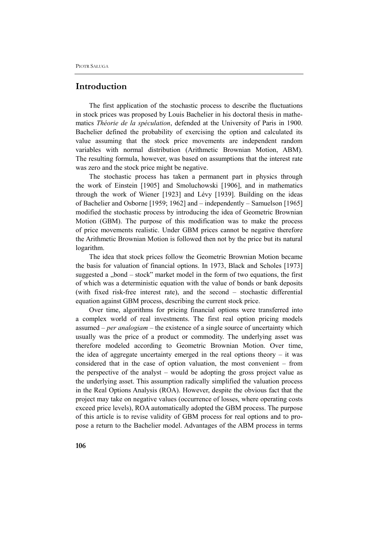#### **Introduction**

The first application of the stochastic process to describe the fluctuations in stock prices was proposed by Louis Bachelier in his doctoral thesis in mathematics *Théorie de la spéculation*, defended at the University of Paris in 1900. Bachelier defined the probability of exercising the option and calculated its value assuming that the stock price movements are independent random variables with normal distribution (Arithmetic Brownian Motion, ABM). The resulting formula, however, was based on assumptions that the interest rate was zero and the stock price might be negative.

The stochastic process has taken a permanent part in physics through the work of Einstein [1905] and Smoluchowski [1906], and in mathematics through the work of Wiener [1923] and Lévy [1939]. Building on the ideas of Bachelier and Osborne [1959; 1962] and – independently – Samuelson [1965] modified the stochastic process by introducing the idea of Geometric Brownian Motion (GBM). The purpose of this modification was to make the process of price movements realistic. Under GBM prices cannot be negative therefore the Arithmetic Brownian Motion is followed then not by the price but its natural logarithm.

The idea that stock prices follow the Geometric Brownian Motion became the basis for valuation of financial options. In 1973, Black and Scholes [1973] suggested a "bond  $-$  stock" market model in the form of two equations, the first of which was a deterministic equation with the value of bonds or bank deposits (with fixed risk-free interest rate), and the second – stochastic differential equation against GBM process, describing the current stock price.

Over time, algorithms for pricing financial options were transferred into a complex world of real investments. The first real option pricing models assumed – *per analogiam* – the existence of a single source of uncertainty which usually was the price of a product or commodity. The underlying asset was therefore modeled according to Geometric Brownian Motion. Over time, the idea of aggregate uncertainty emerged in the real options theory – it was considered that in the case of option valuation, the most convenient – from the perspective of the analyst – would be adopting the gross project value as the underlying asset. This assumption radically simplified the valuation process in the Real Options Analysis (ROA). However, despite the obvious fact that the project may take on negative values (occurrence of losses, where operating costs exceed price levels), ROA automatically adopted the GBM process. The purpose of this article is to revise validity of GBM process for real options and to propose a return to the Bachelier model. Advantages of the ABM process in terms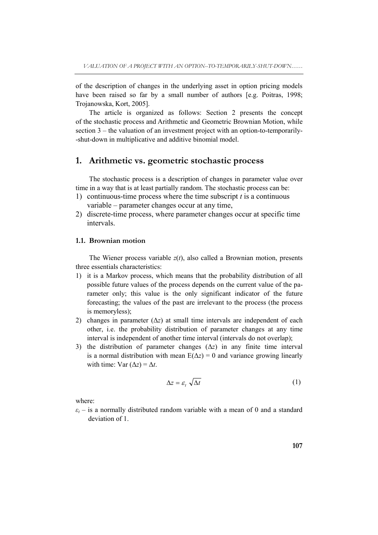of the description of changes in the underlying asset in option pricing models have been raised so far by a small number of authors [e.g. Poitras, 1998; Trojanowska, Kort, 2005].

The article is organized as follows: Section 2 presents the concept of the stochastic process and Arithmetic and Geometric Brownian Motion, while section 3 – the valuation of an investment project with an option-to-temporarily- -shut-down in multiplicative and additive binomial model.

## **1. Arithmetic vs. geometric stochastic process**

The stochastic process is a description of changes in parameter value over time in a way that is at least partially random. The stochastic process can be:

- 1) continuous-time process where the time subscript *t* is a continuous variable – parameter changes occur at any time,
- 2) discrete-time process, where parameter changes occur at specific time intervals.

#### **1.1. Brownian motion**

The Wiener process variable *z*(*t*), also called a Brownian motion, presents three essentials characteristics:

- 1) it is a Markov process, which means that the probability distribution of all possible future values of the process depends on the current value of the parameter only; this value is the only significant indicator of the future forecasting; the values of the past are irrelevant to the process (the process is memoryless);
- 2) changes in parameter  $(\Delta z)$  at small time intervals are independent of each other, i.e. the probability distribution of parameter changes at any time interval is independent of another time interval (intervals do not overlap);
- 3) the distribution of parameter changes (Δ*z*) in any finite time interval is a normal distribution with mean  $E(\Delta z) = 0$  and variance growing linearly with time:  $Var (\Delta z) = \Delta t$ .

$$
\Delta z = \varepsilon_t \sqrt{\Delta t} \tag{1}
$$

where:

 $\varepsilon$ <sup>*t*</sup> – is a normally distributed random variable with a mean of 0 and a standard deviation of 1.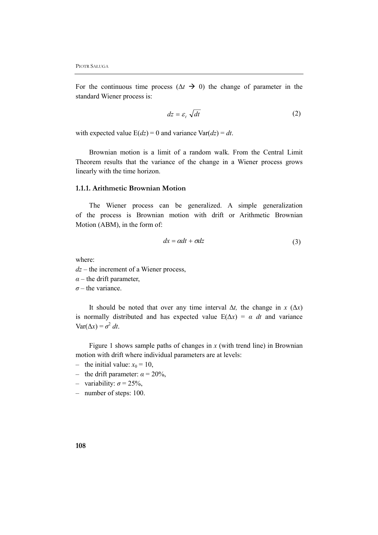For the continuous time process  $(\Delta t \rightarrow 0)$  the change of parameter in the standard Wiener process is:

$$
dz = \varepsilon_t \sqrt{dt} \tag{2}
$$

with expected value  $E(dz) = 0$  and variance  $Var(dz) = dt$ .

Brownian motion is a limit of a random walk. From the Central Limit Theorem results that the variance of the change in a Wiener process grows linearly with the time horizon.

#### **1.1.1. Arithmetic Brownian Motion**

The Wiener process can be generalized. A simple generalization of the process is Brownian motion with drift or Arithmetic Brownian Motion (ABM), in the form of:

$$
dx = \alpha dt + \sigma dz \tag{3}
$$

where:

- *dz* the increment of a Wiener process,
- $\alpha$  the drift parameter,
- $\sigma$  the variance.

It should be noted that over any time interval  $\Delta t$ , the change in *x* ( $\Delta x$ ) is normally distributed and has expected value  $E(\Delta x) = \alpha dt$  and variance  $Var(\Delta x) = \sigma^2 dt$ .

Figure 1 shows sample paths of changes in  $x$  (with trend line) in Brownian motion with drift where individual parameters are at levels:

- the initial value:  $x_0 = 10$ ,
- the drift parameter:  $\alpha = 20\%$ ,
- variability: *σ* = 25%,
- number of steps: 100.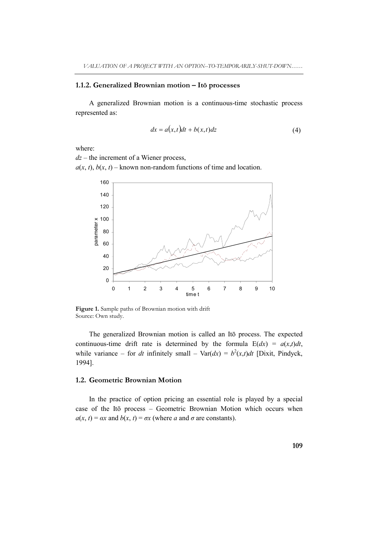#### **1.1.2. Generalized Brownian motion – Itō processes**

A generalized Brownian motion is a continuous-time stochastic process represented as:

$$
dx = a(x,t)dt + b(x,t)dz
$$
 (4)

where:

*dz* – the increment of a Wiener process,

 $a(x, t)$ ,  $b(x, t)$  – known non-random functions of time and location.



Figure 1. Sample paths of Brownian motion with drift Source: Own study.

The generalized Brownian motion is called an Itō process. The expected continuous-time drift rate is determined by the formula  $E(dx) = a(x,t)dt$ , while variance – for *dt* infinitely small – Var( $dx$ ) =  $b^2(x,t)dt$  [Dixit, Pindyck, 1994].

#### **1.2. Geometric Brownian Motion**

In the practice of option pricing an essential role is played by a special case of the Itō process – Geometric Brownian Motion which occurs when  $a(x, t) = \alpha x$  and  $b(x, t) = \alpha x$  (where *a* and  $\sigma$  are constants).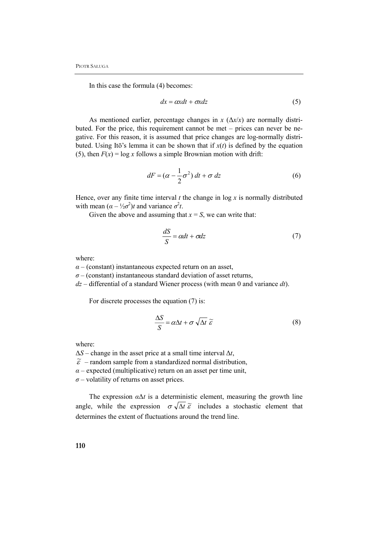In this case the formula (4) becomes:

$$
dx = \alpha x dt + \sigma x dz \tag{5}
$$

As mentioned earlier, percentage changes in  $x$  ( $\Delta x/x$ ) are normally distributed. For the price, this requirement cannot be met – prices can never be negative. For this reason, it is assumed that price changes are log-normally distributed. Using Itō's lemma it can be shown that if  $x(t)$  is defined by the equation (5), then  $F(x) = \log x$  follows a simple Brownian motion with drift:

$$
dF = (\alpha - \frac{1}{2}\sigma^2) dt + \sigma dz
$$
 (6)

Hence, over any finite time interval  $t$  the change in  $\log x$  is normally distributed with mean  $(\alpha - \frac{1}{2}\sigma^2)t$  and variance  $\sigma^2t$ .

Given the above and assuming that  $x = S$ , we can write that:

$$
\frac{dS}{S} = \alpha dt + \sigma dz \tag{7}
$$

where:

 $\alpha$  – (constant) instantaneous expected return on an asset,

 $\sigma$  – (constant) instantaneous standard deviation of asset returns,

*dz* – differential of a standard Wiener process (with mean 0 and variance *dt*).

For discrete processes the equation (7) is:

$$
\frac{\Delta S}{S} = \alpha \Delta t + \sigma \sqrt{\Delta t} \; \widetilde{\varepsilon} \tag{8}
$$

where:

 $\Delta S$  – change in the asset price at a small time interval  $\Delta t$ ,

 $\widetilde{\varepsilon}$  – random sample from a standardized normal distribution,

 $\alpha$  – expected (multiplicative) return on an asset per time unit,

*σ* – volatility of returns on asset prices.

The expression  $\alpha \Delta t$  is a deterministic element, measuring the growth line angle, while the expression  $\sigma \sqrt{\Delta t} \tilde{\varepsilon}$  includes a stochastic element that determines the extent of fluctuations around the trend line.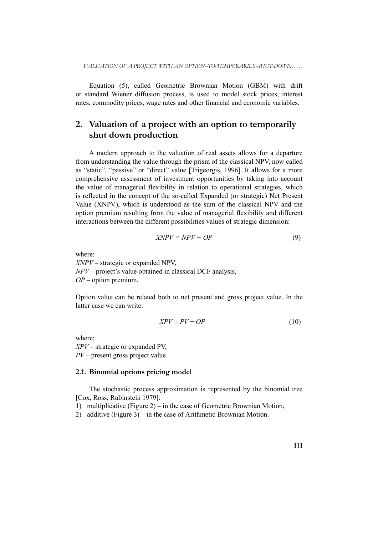Equation (5), called Geometric Brownian Motion (GBM) with drift or standard Wiener diffusion process, is used to model stock prices, interest rates, commodity prices, wage rates and other financial and economic variables.

# **2. Valuation of a project with an option to temporarily shut down production**

A modern approach to the valuation of real assets allows for a departure from understanding the value through the prism of the classical NPV, now called as "static", "passive" or "direct" value [Trigeorgis, 1996]. It allows for a more comprehensive assessment of investment opportunities by taking into account the value of managerial flexibility in relation to operational strategies, which is reflected in the concept of the so-called Expanded (or strategic) Net Present Value (XNPV), which is understood as the sum of the classical NPV and the option premium resulting from the value of managerial flexibility and different interactions between the different possibilities values of strategic dimension:

$$
XNPV = NPV + OP \tag{9}
$$

where:

*XNPV* – strategic or expanded NPV, *NPV* – project's value obtained in classical DCF analysis, *OP* – option premium.

Option value can be related both to net present and gross project value. In the latter case we can write:

$$
XPV = PV + OP \tag{10}
$$

where: *XPV* – strategic or expanded PV, *PV* – present gross project value.

#### **2.1. Binomial options pricing model**

The stochastic process approximation is represented by the binomial tree [Cox, Ross, Rubinstein 1979]:

1) multiplicative (Figure 2) – in the case of Geometric Brownian Motion,

2) additive (Figure 3) – in the case of Arithmetic Brownian Motion.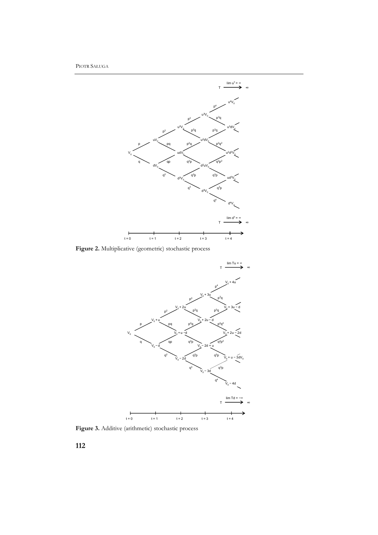PIOTR SAŁUGA



Figure 2. Multiplicative (geometric) stochastic process



Figure 3. Additive (arithmetic) stochastic process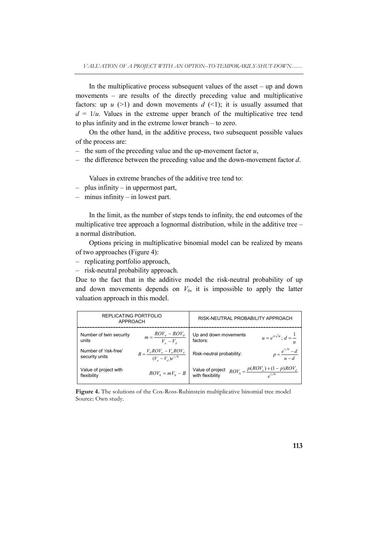In the multiplicative process subsequent values of the asset  $-$  up and down movements – are results of the directly preceding value and multiplicative factors: up  $u$  (>1) and down movements  $d$  (<1); it is usually assumed that  $d = 1/u$ . Values in the extreme upper branch of the multiplicative tree tend to plus infinity and in the extreme lower branch – to zero.

On the other hand, in the additive process, two subsequent possible values of the process are:

- the sum of the preceding value and the up-movement factor *u*,
- the difference between the preceding value and the down-movement factor *d*.

Values in extreme branches of the additive tree tend to:

- plus infinity in uppermost part,
- minus infinity in lowest part.

In the limit, as the number of steps tends to infinity, the end outcomes of the multiplicative tree approach a lognormal distribution, while in the additive tree – a normal distribution.

Options pricing in multiplicative binomial model can be realized by means of two approaches (Figure 4):

– replicating portfolio approach,

– risk-neutral probability approach.

Due to the fact that in the additive model the risk-neutral probability of up and down movements depends on  $V_0$ , it is impossible to apply the latter valuation approach in this model.

| REPLICATING PORTFOLIO<br>APPROACH       |                                                                 | RISK-NEUTRAL PROBABILITY APPROACH                                                         |
|-----------------------------------------|-----------------------------------------------------------------|-------------------------------------------------------------------------------------------|
| Number of twin security<br>units        | $m = \frac{ROV_u - ROV_d}{V_u - V_d}$                           | Up and down movements<br>$u=e^{\sigma\sqrt{\Delta t}}$ ; $d=\frac{1}{\sigma}$<br>factors: |
| Number of 'risk-free'<br>security units | $B = \frac{V_d ROV_u - V_u ROV_d}{(V_u - V_d)e^{r_f \Delta t}}$ | $p = \frac{e^{r_f \Delta t} - d}{u - d}$<br>Risk-neutral probability:                     |
| Value of project with<br>flexibility    | $ROV_0 = mV_0 - B$                                              | $ROV_0 = \frac{p(ROV_u) + (1-p)ROV_d}{a^{r/Me}}$<br>Value of project<br>with flexibility  |

**Figure 4.** The solutions of the Cox-Ross-Rubinstein multiplicative binomial tree model Source: Own study.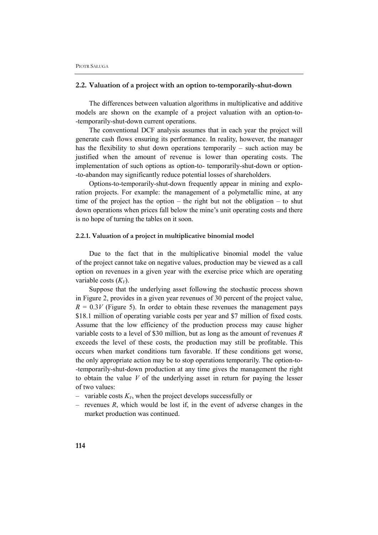#### **2.2. Valuation of a project with an option to-temporarily-shut-down**

The differences between valuation algorithms in multiplicative and additive models are shown on the example of a project valuation with an option-to- -temporarily-shut-down current operations.

The conventional DCF analysis assumes that in each year the project will generate cash flows ensuring its performance. In reality, however, the manager has the flexibility to shut down operations temporarily – such action may be justified when the amount of revenue is lower than operating costs. The implementation of such options as option-to- temporarily-shut-down or option- -to-abandon may significantly reduce potential losses of shareholders.

Options-to-temporarily-shut-down frequently appear in mining and exploration projects. For example: the management of a polymetallic mine, at any time of the project has the option – the right but not the obligation – to shut down operations when prices fall below the mine's unit operating costs and there is no hope of turning the tables on it soon.

#### **2.2.1. Valuation of a project in multiplicative binomial model**

Due to the fact that in the multiplicative binomial model the value of the project cannot take on negative values, production may be viewed as a call option on revenues in a given year with the exercise price which are operating variable costs  $(K_V)$ .

Suppose that the underlying asset following the stochastic process shown in Figure 2, provides in a given year revenues of 30 percent of the project value,  $R = 0.3V$  (Figure 5). In order to obtain these revenues the management pays \$18.1 million of operating variable costs per year and \$7 million of fixed costs. Assume that the low efficiency of the production process may cause higher variable costs to a level of \$30 million, but as long as the amount of revenues *R* exceeds the level of these costs, the production may still be profitable. This occurs when market conditions turn favorable. If these conditions get worse, the only appropriate action may be to stop operations temporarily. The option-to- -temporarily-shut-down production at any time gives the management the right to obtain the value *V* of the underlying asset in return for paying the lesser of two values:

- variable costs  $K_V$ , when the project develops successfully or
- revenues *R*, which would be lost if, in the event of adverse changes in the market production was continued.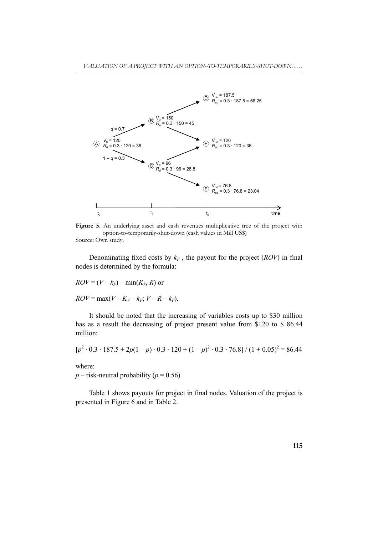

Figure 5. An underlying asset and cash revenues multiplicative tree of the project with option-to-temporarily-shut-down (cash values in Mill US\$) Source: Own study.

Denominating fixed costs by  $k_F$ , the payout for the project (*ROV*) in final nodes is determined by the formula:

 $ROV = (V - k_F) - \min(K_V, R)$  or  $ROV = \max(V - K_V - k_F; V - R - k_F).$ 

It should be noted that the increasing of variables costs up to \$30 million has as a result the decreasing of project present value from \$120 to \$ 86.44 million:

$$
[p^2 \cdot 0.3 \cdot 187.5 + 2p(1-p) \cdot 0.3 \cdot 120 + (1-p)^2 \cdot 0.3 \cdot 76.8]/(1+0.05)^2 = 86.44
$$

where:

 $p$  – risk-neutral probability ( $p$  = 0.56)

Table 1 shows payouts for project in final nodes. Valuation of the project is presented in Figure 6 and in Table 2.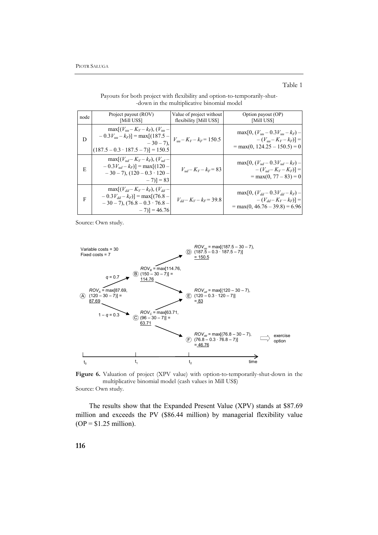node Project payout (ROV) [Mill US\$] Value of project without flexibility [Mill US\$] Option payout (OP) [Mill US\$] D  $max[(V_{uu} - K_V - k_F), (V_{uu}$  $-0.3V_{uu} - k_F$ ] = max[(187.5 - $-30 - 7$ )  $(187.5 - 0.3 \cdot 187.5 - 7)$ ] = 150.5  $V_{uu}$  –  $K_V$  –  $k_F$  = 150.5  $max[0, (V_{uu}-0.3V_{uu}-k_F)$  $-(V_{uu} - K_V - k_F)] =$  $=$  max(0, 124.25 – 150.5) = 0 E  $max[(V_{ud} - K_V - k_F), (V_{ud}$  $-0.3V_{ud} - k_F$ ] = max[(120  $-30 - 7$ ),  $(120 - 0.3 \cdot 120)$  $(-7)$ ] = 83  $V_{ud} - K_V - k_F = 83$  $max[0, (V_{ud}-0.3V_{ud}-k_F)]$  $-(V_{ud} - K_V - K_F)] =$  $= max(0, 77 - 83) = 0$ F  $max[(V_{dd} - K_V - k_F), (V_{dd} -0.3V_{dd} - k_F$ ] = max[(76.8 - $-30 - 7$ ),  $(76.8 - 0.3 \cdot 76.8 \cdot$  $-7$ )] = 46.76  $V_{dd}$ –  $K_V$ –  $k_F$  = 39.8  $max[0, (V_{dd} - 0.3V_{dd} - k_F)]$  $-(V_{dd} - K_V - k_F)$ ] =  $=$  max(0, 46.76 – 39.8) = 6.96

Payouts for both project with flexibility and option-to-temporarily-shut- -down in the multiplicative binomial model

Table 1

Source: Own study.



**Figure 6.** Valuation of project (XPV value) with option-to-temporarily-shut-down in the multiplicative binomial model (cash values in Mill US\$) Source: Own study.

The results show that the Expanded Present Value (XPV) stands at \$87.69 million and exceeds the PV (\$86.44 million) by managerial flexibility value  $OP = $1.25$  million).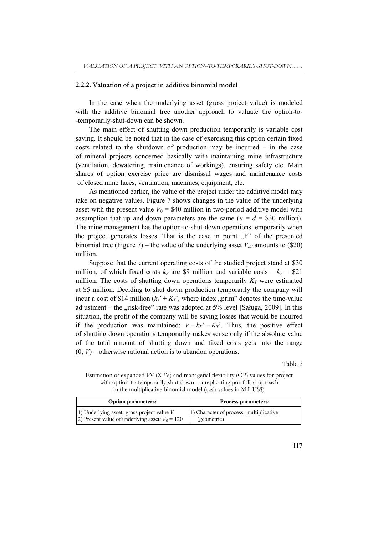#### **2.2.2. Valuation of a project in additive binomial model**

In the case when the underlying asset (gross project value) is modeled with the additive binomial tree another approach to valuate the option-to- -temporarily-shut-down can be shown.

The main effect of shutting down production temporarily is variable cost saving. It should be noted that in the case of exercising this option certain fixed costs related to the shutdown of production may be incurred – in the case of mineral projects concerned basically with maintaining mine infrastructure (ventilation, dewatering, maintenance of workings), ensuring safety etc. Main shares of option exercise price are dismissal wages and maintenance costs of closed mine faces, ventilation, machines, equipment, etc.

As mentioned earlier, the value of the project under the additive model may take on negative values. Figure 7 shows changes in the value of the underlying asset with the present value  $V_0$  = \$40 million in two-period additive model with assumption that up and down parameters are the same  $(u = d = $30$  million). The mine management has the option-to-shut-down operations temporarily when the project generates losses. That is the case in point  $F''$  of the presented binomial tree (Figure 7) – the value of the underlying asset  $V_{dd}$  amounts to (\$20) million.

Suppose that the current operating costs of the studied project stand at \$30 million, of which fixed costs  $k_F$  are \$9 million and variable costs –  $k_V$  = \$21 million. The costs of shutting down operations temporarily  $K_T$  were estimated at \$5 million. Deciding to shut down production temporarily the company will incur a cost of \$14 million  $(k_s + K_T)$ , where index "prim" denotes the time-value adjustment – the "risk-free" rate was adopted at  $5\%$  level [Saługa, 2009]. In this situation, the profit of the company will be saving losses that would be incurred if the production was maintained:  $V - k_F' - K_T'$ . Thus, the positive effect of shutting down operations temporarily makes sense only if the absolute value of the total amount of shutting down and fixed costs gets into the range  $(0; V)$  – otherwise rational action is to abandon operations.

Table 2

Estimation of expanded PV (XPV) and managerial flexibility (OP) values for project with option-to-temporarily-shut-down – a replicating portfolio approach in the multiplicative binomial model (cash values in Mill US\$)

| <b>Option parameters:</b>                          | <b>Process parameters:</b>              |  |
|----------------------------------------------------|-----------------------------------------|--|
| 1) Underlying asset: gross project value $V$       | 1) Character of process: multiplicative |  |
| (2) Present value of underlying asset: $V_0 = 120$ | (geometric)                             |  |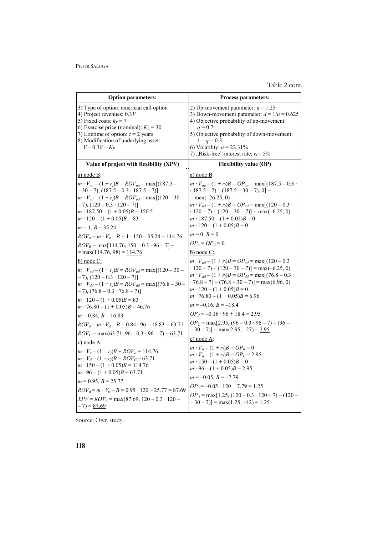Table 2 cont.

| <b>Option parameters:</b>                                                                                                                                                                                                                                                                                    | <b>Process parameters:</b>                                                                                                                                                                                                                                                                                                                   |  |
|--------------------------------------------------------------------------------------------------------------------------------------------------------------------------------------------------------------------------------------------------------------------------------------------------------------|----------------------------------------------------------------------------------------------------------------------------------------------------------------------------------------------------------------------------------------------------------------------------------------------------------------------------------------------|--|
| 3) Type of option: american call option<br>4) Project revenues: $0.3V$<br>5) Fixed costs: $k_F$ = 7<br>6) Exercise price (nominal): $K_V = 30$<br>7) Lifetime of option: $\tau$ = 2 years<br>8) Modification of underlying asset:<br>$V - 0.3V - K_F$                                                        | 2) Up-movement parameter: $u = 1.25$<br>3) Down-movement parameter: $d = 1/u = 0.625$<br>4) Objective probability of up-movement:<br>$q = 0.7$<br>5) Objective probability of down-movement:<br>$1 - q = 0.3$<br>6) Volatility: $\sigma$ = 22.31%<br>7), Risk-free" interest rate: $r_f$ = 5%                                                |  |
| Value of project with flexibility (XPV)                                                                                                                                                                                                                                                                      | <b>Flexibility value (OP)</b>                                                                                                                                                                                                                                                                                                                |  |
| <u>a) node B</u> :                                                                                                                                                                                                                                                                                           | <u>a) node B:</u>                                                                                                                                                                                                                                                                                                                            |  |
| $m \cdot V_{uu} - (1 + r_f)B = ROV_{uu} = \max[(187.5 -$<br>$-30-7$ , $(187.5-0.3 \cdot 187.5 - 7)$<br>$m \cdot V_{ud} - (1 + r_f)B = ROV_{ud} = \max[(120 - 30 -$<br>$-7$ , $(120 - 0.3 \cdot 120 - 7)$<br>$m \cdot 187.50 - (1 + 0.05)B = 150.5$<br>$m \cdot 120 - (1 + 0.05)B = 83$<br>$m = 1, B = 35.24$ | $m \cdot V_{uu} - (1 + r_f)B = OP_{uu} = \max[(187.5 - 0.3 \cdot$<br>$\cdot$ 187.5 - 7) - (187.5 - 30 - 7), 0] =<br>$=$ max( $-26.25, 0$ )<br>$m \cdot V_{ud} - (1 + r_f)B = OP_{ud} = \max[(120 - 0.3 \cdot$<br>$\cdot$ 120 - 7) - (120 - 30 - 7)] = max(-6.25, 0)<br>$m \cdot 187.50 - (1 + 0.05)B = 0$<br>$m \cdot 120 - (1 + 0.05)B = 0$ |  |
| $ROV_u = m \cdot V_u - B = 1 \cdot 150 - 35.24 = 114.76$                                                                                                                                                                                                                                                     | $m = 0, B = 0$                                                                                                                                                                                                                                                                                                                               |  |
| $ROV_B$ = max[114.76, 150 – 0.3 · 96 – 7] =<br>$= max(114.76, 98) = 114.76$                                                                                                                                                                                                                                  | $OP_u = OP_B = 0$<br>$b)$ node $C$ :                                                                                                                                                                                                                                                                                                         |  |
| b) node C:<br>$m \cdot V_{ud} - (1 + r_f)B = ROV_{ud} = \max[(120 - 30 -$<br>$-7$ , $(120 - 0.3 \cdot 120 - 7)$ ]<br>$m \cdot V_{dd} - (1 + r_f)B = ROV_{dd} = \max[(76.8 - 30 -$<br>$-7$ , $(76.8 - 0.3 \cdot 76.8 - 7)$<br>$m \cdot 120 - (1 + 0.05)B = 83$                                                | $m \cdot V_{ud} - (1 + r_f)B = OP_{ud} = \max[(120 - 0.3 \cdot$<br>$\cdot$ 120 - 7) - (120 - 30 - 7)] = max(-6.25, 0)<br>$m \cdot V_{dd} - (1 + r_f)B = OP_{dd} = \max[(76.8 - 0.3$ .<br>$(76.8 - 7) - (76.8 - 30 - 7)$ ] = max(6.96, 0)<br>$m \cdot 120 - (1 + 0.05)B = 0$<br>$m \cdot 76.80 - (1 + 0.05)B = 6.96$                          |  |
| $m \cdot 76.80 - (1 + 0.05)B = 46.76$                                                                                                                                                                                                                                                                        | $m = -0.16, B = -18.4$                                                                                                                                                                                                                                                                                                                       |  |
| $m = 0.84, B = 16.83$<br>$ROV_d = m \cdot V_d - B = 0.84 \cdot 96 - 16.83 = 63.71$<br>$ROV_C$ = max(63.71, 96 – 0.3 · 96 – 7) = <u>63.71</u><br>c) node A:                                                                                                                                                   | $OP_d = -0.16 \cdot 96 + 18.4 = 2.95$<br>$OP_C$ = max[2.95, (96 – 0.3 · 96 – 7) – (96 –<br>$-30-7$ ] = max(2.95, -27) = 2.95<br><u>c) node A:</u>                                                                                                                                                                                            |  |
| $m \cdot V_u - (1 + r_f)B = ROV_B = 114.76$<br>$m \cdot V_d - (1 + r_f)B = ROV_C = 63.71$<br>$m \cdot 150 - (1 + 0.05)B = 114.76$<br>$m \cdot 96 - (1 + 0.05)B = 63.71$                                                                                                                                      | $m \cdot V_u - (1 + r_f)B = OP_B = 0$<br>$m \cdot V_d - (1 + r_f)B = OP_C = 2.95$<br>$m \cdot 150 - (1 + 0.05)B = 0$<br>$m \cdot 96 - (1 + 0.05)B = 2.95$<br>$m = -0.05, B = -7.79$                                                                                                                                                          |  |
| $m = 0.95, B = 25.77$<br>$ROV_0 = m \cdot V_0 - B = 0.95 \cdot 120 - 25.77 = 87.69$<br>$XPV = ROV_A = \max(87.69, 120 - 0.3 \cdot 120 -$<br>$-7) = 87.69$                                                                                                                                                    | $OP_0 = -0.05 \cdot 120 + 7.79 = 1.25$<br>$OPA$ = max[1.25, (120 – 0.3 · 120 – 7) – (120 –<br>$-30-7$ ] = max(1.25, -42) = $1.25$                                                                                                                                                                                                            |  |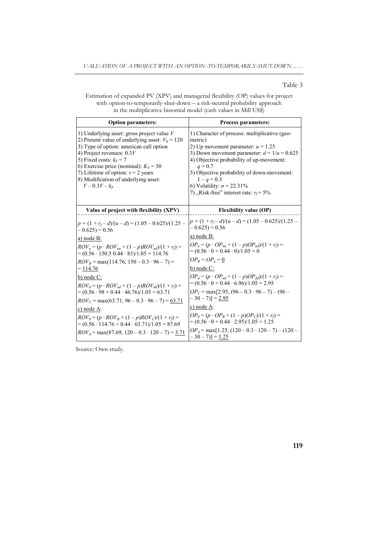#### Table 3

Estimation of expanded PV (XPV) and managerial flexibility (OP) values for project with option-to-temporarily-shut-down – a risk-neutral probability approach in the multiplicative binomial model (cash values in Mill US\$)

| <b>Option parameters:</b>                                                                                                                                                                                                                                                                                                                                                                                                                                                                                                                                                                                                                                      | <b>Process parameters:</b>                                                                                                                                                                                                                                                                                                                                                                                                                                                                                                                                                                                                 |  |
|----------------------------------------------------------------------------------------------------------------------------------------------------------------------------------------------------------------------------------------------------------------------------------------------------------------------------------------------------------------------------------------------------------------------------------------------------------------------------------------------------------------------------------------------------------------------------------------------------------------------------------------------------------------|----------------------------------------------------------------------------------------------------------------------------------------------------------------------------------------------------------------------------------------------------------------------------------------------------------------------------------------------------------------------------------------------------------------------------------------------------------------------------------------------------------------------------------------------------------------------------------------------------------------------------|--|
| 1) Underlying asset: gross project value $V$<br>2) Present value of underlying asset: $V_0 = 120$<br>3) Type of option: american call option<br>4) Project revenues: $0.3V$<br>5) Fixed costs: $k_F$ = 7<br>6) Exercise price (nominal): $K_V = 30$<br>7) Lifetime of option: $\tau$ = 2 years<br>8) Modification of underlying asset:<br>$V - 0.3V - k_F$                                                                                                                                                                                                                                                                                                     | 1) Character of process: multiplicative (geo-<br>metric)<br>2) Up movement parameter: $u = 1.25$<br>3) Down movement parameter: $d = 1/u = 0.625$<br>4) Objective probability of up-movement:<br>$q = 0.7$<br>5) Objective probability of down-movement:<br>$1 - q = 0.3$<br>6) Volatility: $\sigma$ = 22.31%<br>7), Risk-free" interest rate: $r_f$ = 5%                                                                                                                                                                                                                                                                  |  |
| Value of project with flexibility (XPV)                                                                                                                                                                                                                                                                                                                                                                                                                                                                                                                                                                                                                        | <b>Flexibility value (OP)</b>                                                                                                                                                                                                                                                                                                                                                                                                                                                                                                                                                                                              |  |
| $p = (1 + r_f - d)/(u - d) = (1.05 - 0.625)/(1.25 -$<br>$-0.625) = 0.56$<br>a) node B:<br>$ROV_u = (p \cdot ROV_{uu} + (1-p)ROV_{ud})/(1 + r_f) =$<br>$=(0.56 \cdot 150.5 \cdot 0.44 \cdot 83)/1.05 = 114.76$<br>$ROV_B$ = max(114.76, 150 – 0.3 · 96 – 7) =<br>$=$ 114.76<br>b) node $C$ :<br>$ROV_d = (p \cdot ROV_{ud} + (1-p)ROV_{dd})/(1 + r_f) =$<br>$=(0.56 \cdot 98 + 0.44 \cdot 46.76)/1.05 = 63.71$<br>$ROV_C = \max(63.71, 96 - 0.3 \cdot 96 - 7) = 63.71$<br>$c)$ node A:<br>$ROV_0 = (p \cdot ROV_B + (1 - p)ROV_C)/(1 + r_f) =$<br>$=(0.56 \cdot 114.76 + 0.44 \cdot 63.71)/1.05 = 87.69$<br>$ROV4 = max(87.69, 120 - 0.3 \cdot 120 - 7) = 3.71$ | $p = (1 + r_f - d)/(u - d) = (1.05 - 0.625)/(1.25 -$<br>$-0.625 = 0.56$<br>a) node $B$ :<br>$OP_u = (p \cdot OP_{uu} + (1-p)OP_{ud})/(1+r_f) =$<br>$=(0.56 \cdot 0 + 0.44 \cdot 0)/1.05 = 0$<br>$OP_B = OP_u = 0$<br>b) node $C$ :<br>$OP_d = (p \cdot OP_{ud} + (1-p)OP_{dd})/(1+r_f) =$<br>$=(0.56 \cdot 0 + 0.44 \cdot 6.96)/1.05 = 2.95$<br>$OP_C$ = max[2.95, (96 – 0.3 · 96 – 7) – (96 –<br>$-30-7$ ) $]= 2.95$<br>c) node A:<br>$OP_0 = (p \cdot OP_B + (1 - p)OP_C)/(1 + r_f) =$<br>$=(0.56 \cdot 0 + 0.44 \cdot 2.95)/1.05 = 1.25$<br>$OPA$ = max[1.25, (120 – 0.3 · 120 – 7) – (120 –<br>$-30-7$ ] = <u>1.25</u> |  |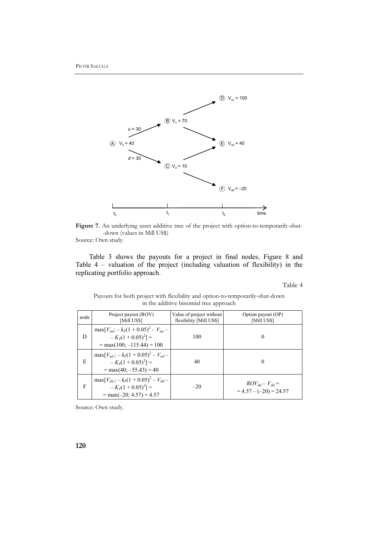

Figure 7. An underlying asset additive tree of the project with option-to-temporarily-shut--down (values in Mill US\$) Source: Own study.

Table 3 shows the payouts for a project in final nodes, Figure 8 and Table 4 – valuation of the project (including valuation of flexibility) in the replicating portfolio approach.

Table 4

| in the additive binomial tree approach |                                                                                                       |                                                     |                                                   |  |
|----------------------------------------|-------------------------------------------------------------------------------------------------------|-----------------------------------------------------|---------------------------------------------------|--|
| node                                   | Project payout (ROV)<br>[Mill US\$]                                                                   | Value of project without<br>flexibility [Mill US\$] | Option payout (OP)<br>[Mill US\$]                 |  |
| D                                      | $\max[V_{uu} - k_F(1 + 0.05)^2 - V_{uu} -$<br>$-K_{7}(1+0.05)^{2}$ ] =<br>$= max(100; -115.44) = 100$ | 100                                                 | $\theta$                                          |  |
| E                                      | $\max[V_{ud}] - k_F(1 + 0.05)^2 - V_{ud}$<br>$-K_{7}(1+0.05)^{2}$ ] =<br>$= max(40; -55.43) = 40$     | 40                                                  | $\Omega$                                          |  |
| F                                      | $\max[V_{dd} - k_F(1 + 0.05)^2 - V_{dd}$<br>$-K_7(1+0.05)^2$ ] =<br>$= max(-20; 4.57) = 4.57$         | $-20$                                               | $ROV_{dd} - V_{dd} =$<br>$= 4.57 - (-20) = 24.57$ |  |

Payouts for both project with flexibility and option-to-temporarily-shut-down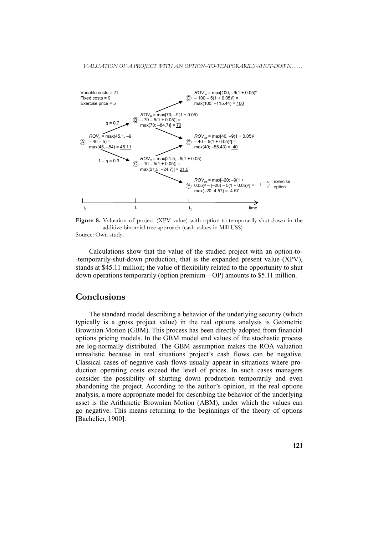

**Figure 8.** Valuation of project (XPV value) with option-to-temporarily-shut-down in the additive binomial tree approach (cash values in Mill US\$) Source: Own study.

Calculations show that the value of the studied project with an option-to- -temporarily-shut-down production, that is the expanded present value (XPV), stands at \$45.11 million; the value of flexibility related to the opportunity to shut down operations temporarily (option premium – OP) amounts to \$5.11 million.

# **Conclusions**

The standard model describing a behavior of the underlying security (which typically is a gross project value) in the real options analysis is Geometric Brownian Motion (GBM). This process has been directly adopted from financial options pricing models. In the GBM model end values of the stochastic process are log-normally distributed. The GBM assumption makes the ROA valuation unrealistic because in real situations project's cash flows can be negative. Classical cases of negative cash flows usually appear in situations where production operating costs exceed the level of prices. In such cases managers consider the possibility of shutting down production temporarily and even abandoning the project. According to the author's opinion, in the real options analysis, a more appropriate model for describing the behavior of the underlying asset is the Arithmetic Brownian Motion (ABM), under which the values can go negative. This means returning to the beginnings of the theory of options [Bachelier, 1900].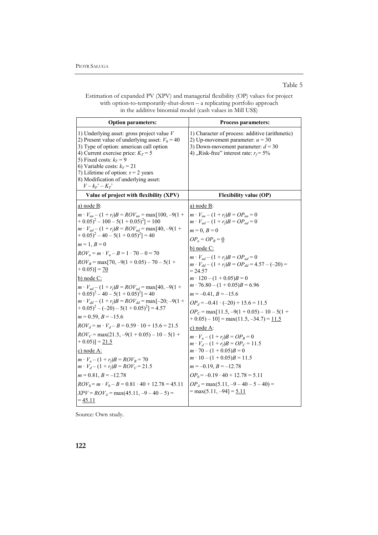#### Table 5

Estimation of expanded PV (XPV) and managerial flexibility (OP) values for project with option-to-temporarily-shut-down – a replicating portfolio approach in the additive binomial model (cash values in Mill US\$)

| <b>Option parameters:</b>                                                                                                                                                                                                                                                                                                                                                                                                                                                                                                                                                                                                                                                                                                                                                                                                                                                                                    | <b>Process parameters:</b>                                                                                                                                                                                                                                                                                                                                                                                                                                                                                                                                                                                                                                                                                                                                                           |  |
|--------------------------------------------------------------------------------------------------------------------------------------------------------------------------------------------------------------------------------------------------------------------------------------------------------------------------------------------------------------------------------------------------------------------------------------------------------------------------------------------------------------------------------------------------------------------------------------------------------------------------------------------------------------------------------------------------------------------------------------------------------------------------------------------------------------------------------------------------------------------------------------------------------------|--------------------------------------------------------------------------------------------------------------------------------------------------------------------------------------------------------------------------------------------------------------------------------------------------------------------------------------------------------------------------------------------------------------------------------------------------------------------------------------------------------------------------------------------------------------------------------------------------------------------------------------------------------------------------------------------------------------------------------------------------------------------------------------|--|
| 1) Underlying asset: gross project value $V$<br>2) Present value of underlying asset: $V_0 = 40$<br>3) Type of option: american call option<br>4) Current exercise price: $K_T = 5$<br>5) Fixed costs: $k_F$ = 9<br>6) Variable costs: $k_V = 21$<br>7) Lifetime of option: $\tau$ = 2 years<br>8) Modification of underlying asset:<br>$V - k_F^{\prime} - K_T^{\prime}$                                                                                                                                                                                                                                                                                                                                                                                                                                                                                                                                    | 1) Character of process: additive (arithmetic)<br>2) Up-movement parameter: $u = 30$<br>3) Down-movement parameter: $d = 30$<br>4), Risk-free" interest rate: $r_f$ = 5%                                                                                                                                                                                                                                                                                                                                                                                                                                                                                                                                                                                                             |  |
| Value of project with flexibility (XPV)                                                                                                                                                                                                                                                                                                                                                                                                                                                                                                                                                                                                                                                                                                                                                                                                                                                                      | <b>Flexibility value (OP)</b>                                                                                                                                                                                                                                                                                                                                                                                                                                                                                                                                                                                                                                                                                                                                                        |  |
| a) node B:<br>$m \cdot V_{uu} - (1 + r_f)B = ROV_{uu} = max[100, -9(1 +$<br>$+ 0.05)^{2} - 100 - 5(1 + 0.05)^{2} = 100$<br>$m \cdot V_{ud} - (1 + r_f)B = ROV_{ud} = max[40, -9(1 +$<br>$+ 0.05)^{2} - 40 - 5(1 + 0.05)^{2} = 40$<br>$m = 1, B = 0$<br>$ROV_u = m \cdot V_u - B = 1 \cdot 70 - 0 = 70$<br>$ROV_B = \max[70, -9(1 + 0.05) - 70 - 5(1 +$<br>$+ 0.05$ ] = 70<br>b) node $C$ :<br>$m \cdot V_{ud} - (1 + r_f)B = ROV_{ud} = max[40, -9(1 +$<br>$+ 0.05)^2 - 40 - 5(1 + 0.05)^2 = 40$<br>$m \cdot V_{dd} - (1 + r_f)B = ROV_{dd} = \max[-20; -9(1 +$<br>$+ 0.05)^{2} - (-20) - 5(1 + 0.05)^{2} = 4.57$<br>$m = 0.59, B = -15.6$<br>$ROV_d = m \cdot V_d - B = 0.59 \cdot 10 + 15.6 = 21.5$<br>$ROV_C = \max(21.5, -9(1 + 0.05) - 10 - 5(1 +$<br>$+ 0.05$ ] = 21.5<br>c) node A:<br>$m \cdot V_u - (1 + r_f)B = ROV_B = 70$<br>$m \cdot V_d - (1 + r_f)B = ROV_C = 21.5$<br>$m = 0.81, B = -12.78$ | a) node B:<br>$m \cdot V_{uu} - (1 + r_f)B = OP_{uu} = 0$<br>$m \cdot V_{ud} - (1 + r_f)B = OP_{ud} = 0$<br>$m = 0, B = 0$<br>$OP_u = OP_B = 0$<br>b) node $C$ :<br>$m \cdot V_{ud} - (1 + r_f)B = OP_{ud} = 0$<br>$m \cdot V_{dd} - (1 + r_f)B = OP_{dd} = 4.57 - (-20) =$<br>$= 24.57$<br>$m \cdot 120 - (1 + 0.05)B = 0$<br>$m \cdot 76.80 - (1 + 0.05)B = 6.96$<br>$m = -0.41, B = -15.6$<br>$OP_d = -0.41 \cdot (-20) + 15.6 = 11.5$<br>$OP_C$ = max[11.5, -9(1 + 0.05) - 10 - 5(1 +<br>$+0.05 - 10$ ] = max(11.5, -34.7) = 11.5<br>c) node A:<br>$m \cdot V_u - (1 + r_f)B = OP_B = 0$<br>$m \cdot V_d - (1 + r_f)B = OP_C = 11.5$<br>$m \cdot 70 - (1 + 0.05)B = 0$<br>$m \cdot 10 - (1 + 0.05)B = 11.5$<br>$m = -0.19, B = -12.78$<br>$OP_0 = -0.19 \cdot 40 + 12.78 = 5.11$ |  |
| $ROV_0 = m \cdot V_0 - B = 0.81 \cdot 40 + 12.78 = 45.11$<br>$XPV = ROV_A = max(45.11, -9 - 40 - 5) =$<br>$= 45.11$                                                                                                                                                                                                                                                                                                                                                                                                                                                                                                                                                                                                                                                                                                                                                                                          | $OPA$ = max(5.11, -9 - 40 - 5 - 40) =<br>$= max(5.11, -94) = 5.11$                                                                                                                                                                                                                                                                                                                                                                                                                                                                                                                                                                                                                                                                                                                   |  |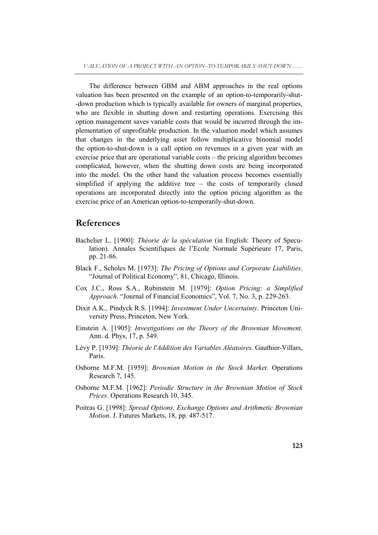The difference between GBM and ABM approaches in the real options valuation has been presented on the example of an option-to-temporarily-shut- -down production which is typically available for owners of marginal properties, who are flexible in shutting down and restarting operations. Exercising this option management saves variable costs that would be incurred through the implementation of unprofitable production. In the valuation model which assumes that changes in the underlying asset follow multiplicative binomial model the option-to-shut-down is a call option on revenues in a given year with an exercise price that are operational variable costs – the pricing algorithm becomes complicated, however, when the shutting down costs are being incorporated into the model. On the other hand the valuation process becomes essentially simplified if applying the additive tree – the costs of temporarily closed operations are incorporated directly into the option pricing algorithm as the exercise price of an American option-to-temporarily-shut-down.

### **References**

- Bachelier L. [1900]: *Théorie de la spéculation* (in English: Theory of Speculation). Annales Scientifiques de l'Ecole Normale Supérieure 17, Paris, pp. 21-86.
- Black F., Scholes M. [1973]: *The Pricing of Options and Corporate Liabilities*. "Journal of Political Economy", 81, Chicago, Illinois.
- Cox J.C., Ross S.A., Rubinstein M. [1979]: *Option Pricing: a Simplified Approach*. "Journal of Financial Economics", Vol. 7, No. 3, p. 229-263.
- Dixit A.K., Pindyck R.S. [1994]: *Investment Under Uncertainty*. Princeton University Press, Princeton, New York.
- Einstein A. [1905]: *Investigations on the Theory of the Brownian Movement*. Ann. d. Phys, 17, p. 549.
- Lévy P. [1939]: *Théorie de l'Addition des Variables Aléatoires*. Gauthier-Villars, Paris.
- Osborne M.F.M. [1959]: *Brownian Motion in the Stock Market*. Operations Research 7, 145.
- Osborne M.F.M. [1962]: *Periodic Structure in the Brownian Motion of Stock Prices*. Operations Research 10, 345.
- Poitras G. [1998]: *Spread Options, Exchange Options and Arithmetic Brownian Motion*. J. Futures Markets, 18, pp. 487-517.